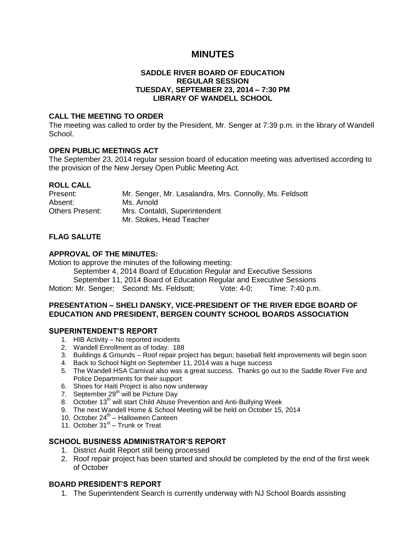# **MINUTES**

### **SADDLE RIVER BOARD OF EDUCATION REGULAR SESSION TUESDAY, SEPTEMBER 23, 2014 – 7:30 PM LIBRARY OF WANDELL SCHOOL**

#### **CALL THE MEETING TO ORDER**

The meeting was called to order by the President, Mr. Senger at 7:39 p.m. in the library of Wandell School.

## **OPEN PUBLIC MEETINGS ACT**

The September 23, 2014 regular session board of education meeting was advertised according to the provision of the New Jersey Open Public Meeting Act.

#### **ROLL CALL**

| Present:        | Mr. Senger, Mr. Lasalandra, Mrs. Connolly, Ms. Feldsott |
|-----------------|---------------------------------------------------------|
| Absent:         | Ms. Arnold                                              |
| Others Present: | Mrs. Contaldi, Superintendent                           |
|                 | Mr. Stokes, Head Teacher                                |

## **FLAG SALUTE**

## **APPROVAL OF THE MINUTES:**

Motion to approve the minutes of the following meeting:

September 4, 2014 Board of Education Regular and Executive Sessions

September 11, 2014 Board of Education Regular and Executive Sessions

Motion: Mr. Senger; Second: Ms. Feldsott; Vote: 4-0; Time: 7:40 p.m.

#### **PRESENTATION – SHELI DANSKY, VICE-PRESIDENT OF THE RIVER EDGE BOARD OF EDUCATION AND PRESIDENT, BERGEN COUNTY SCHOOL BOARDS ASSOCIATION**

#### **SUPERINTENDENT'S REPORT**

- 1. HIB Activity No reported incidents
- 2. Wandell Enrollment as of today: 188
- 3. Buildings & Grounds Roof repair project has begun; baseball field improvements will begin soon
- 4. Back to School Night on September 11, 2014 was a huge success
- 5. The Wandell HSA Carnival also was a great success. Thanks go out to the Saddle River Fire and Police Departments for their support
- 6. Shoes for Haiti Project is also now underway
- 7. September  $29<sup>th</sup>$  will be Picture Day
- 8. October 13<sup>th</sup> will start Child Abuse Prevention and Anti-Bullying Week
- 9. The next Wandell Home & School Meeting will be held on October 15, 2014
- 10. October 24<sup>th</sup> Halloween Canteen
- 11. October 31<sup>st</sup> Trunk or Treat

#### **SCHOOL BUSINESS ADMINISTRATOR'S REPORT**

- 1. District Audit Report still being processed
- 2. Roof repair project has been started and should be completed by the end of the first week of October

#### **BOARD PRESIDENT'S REPORT**

1. The Superintendent Search is currently underway with NJ School Boards assisting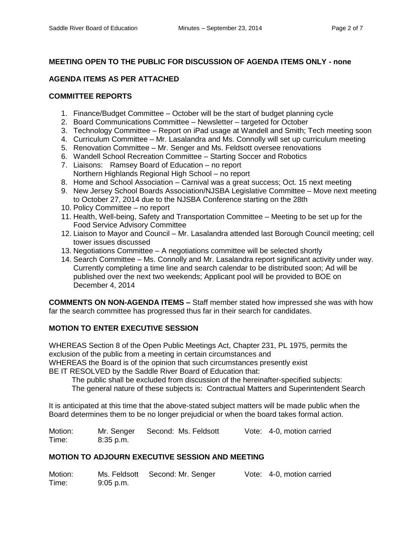# **MEETING OPEN TO THE PUBLIC FOR DISCUSSION OF AGENDA ITEMS ONLY - none**

# **AGENDA ITEMS AS PER ATTACHED**

## **COMMITTEE REPORTS**

- 1. Finance/Budget Committee October will be the start of budget planning cycle
- 2. Board Communications Committee Newsletter targeted for October
- 3. Technology Committee Report on iPad usage at Wandell and Smith; Tech meeting soon
- 4. Curriculum Committee Mr. Lasalandra and Ms. Connolly will set up curriculum meeting
- 5. Renovation Committee Mr. Senger and Ms. Feldsott oversee renovations
- 6. Wandell School Recreation Committee Starting Soccer and Robotics
- 7. Liaisons: Ramsey Board of Education no report Northern Highlands Regional High School – no report
- 8. Home and School Association Carnival was a great success; Oct. 15 next meeting
- 9. New Jersey School Boards Association/NJSBA Legislative Committee Move next meeting to October 27, 2014 due to the NJSBA Conference starting on the 28th
- 10. Policy Committee no report
- 11. Health, Well-being, Safety and Transportation Committee Meeting to be set up for the Food Service Advisory Committee
- 12. Liaison to Mayor and Council Mr. Lasalandra attended last Borough Council meeting; cell tower issues discussed
- 13. Negotiations Committee A negotiations committee will be selected shortly
- 14. Search Committee Ms. Connolly and Mr. Lasalandra report significant activity under way. Currently completing a time line and search calendar to be distributed soon; Ad will be published over the next two weekends; Applicant pool will be provided to BOE on December 4, 2014

**COMMENTS ON NON-AGENDA ITEMS –** Staff member stated how impressed she was with how far the search committee has progressed thus far in their search for candidates.

# **MOTION TO ENTER EXECUTIVE SESSION**

WHEREAS Section 8 of the Open Public Meetings Act, Chapter 231, PL 1975, permits the exclusion of the public from a meeting in certain circumstances and WHEREAS the Board is of the opinion that such circumstances presently exist BE IT RESOLVED by the Saddle River Board of Education that:

The public shall be excluded from discussion of the hereinafter-specified subjects:

The general nature of these subjects is: Contractual Matters and Superintendent Search

It is anticipated at this time that the above-stated subject matters will be made public when the Board determines them to be no longer prejudicial or when the board takes formal action.

Motion: Mr. Senger Second: Ms. Feldsott Vote: 4-0, motion carried Time: 8:35 p.m.

# **MOTION TO ADJOURN EXECUTIVE SESSION AND MEETING**

| Motion: |             | Ms. Feldsott Second: Mr. Senger | Vote: 4-0, motion carried |
|---------|-------------|---------------------------------|---------------------------|
| Time:   | $9:05$ p.m. |                                 |                           |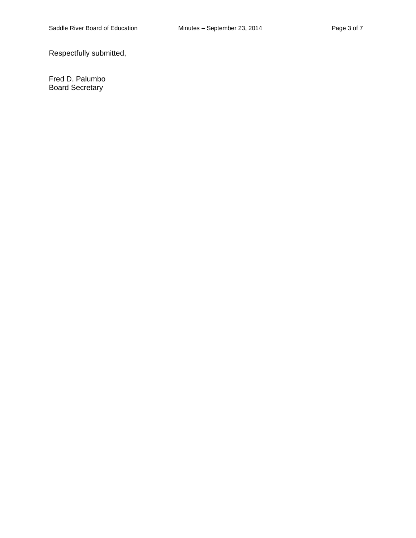Respectfully submitted,

Fred D. Palumbo Board Secretary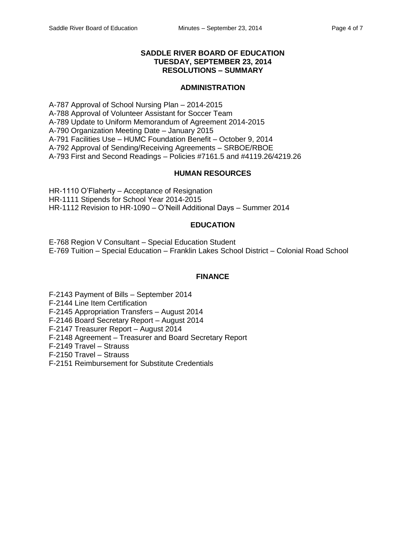### **SADDLE RIVER BOARD OF EDUCATION TUESDAY, SEPTEMBER 23, 2014 RESOLUTIONS – SUMMARY**

#### **ADMINISTRATION**

A-787 Approval of School Nursing Plan – 2014-2015 A-788 Approval of Volunteer Assistant for Soccer Team A-789 Update to Uniform Memorandum of Agreement 2014-2015 A-790 Organization Meeting Date – January 2015 A-791 Facilities Use – HUMC Foundation Benefit – October 9, 2014 A-792 Approval of Sending/Receiving Agreements – SRBOE/RBOE A-793 First and Second Readings – Policies #7161.5 and #4119.26/4219.26

#### **HUMAN RESOURCES**

HR-1110 O'Flaherty – Acceptance of Resignation HR-1111 Stipends for School Year 2014-2015 HR-1112 Revision to HR-1090 – O'Neill Additional Days – Summer 2014

#### **EDUCATION**

E-768 Region V Consultant – Special Education Student E-769 Tuition – Special Education – Franklin Lakes School District – Colonial Road School

#### **FINANCE**

F-2143 Payment of Bills – September 2014

F-2144 Line Item Certification

F-2145 Appropriation Transfers – August 2014

F-2146 Board Secretary Report – August 2014

F-2147 Treasurer Report – August 2014

F-2148 Agreement – Treasurer and Board Secretary Report

F-2149 Travel – Strauss

F-2150 Travel – Strauss

F-2151 Reimbursement for Substitute Credentials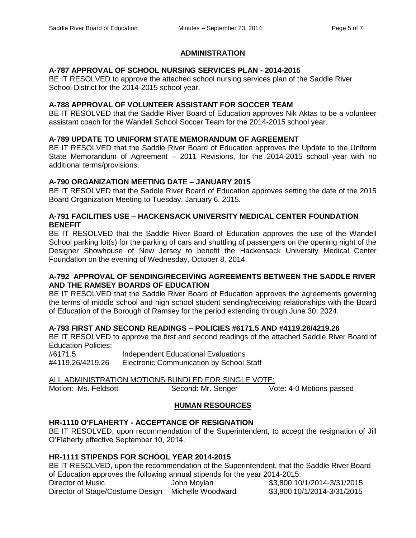# **ADMINISTRATION**

# **A-787 APPROVAL OF SCHOOL NURSING SERVICES PLAN - 2014-2015**

BE IT RESOLVED to approve the attached school nursing services plan of the Saddle River School District for the 2014-2015 school year.

# **A-788 APPROVAL OF VOLUNTEER ASSISTANT FOR SOCCER TEAM**

BE IT RESOLVED that the Saddle River Board of Education approves Nik Aktas to be a volunteer assistant coach for the Wandell School Soccer Team for the 2014-2015 school year.

## **A-789 UPDATE TO UNIFORM STATE MEMORANDUM OF AGREEMENT**

BE IT RESOLVED that the Saddle River Board of Education approves the Update to the Uniform State Memorandum of Agreement – 2011 Revisions, for the 2014-2015 school year with no additional terms/provisions.

## **A-790 ORGANIZATION MEETING DATE – JANUARY 2015**

BE IT RESOLVED that the Saddle River Board of Education approves setting the date of the 2015 Board Organization Meeting to Tuesday, January 6, 2015.

## **A-791 FACILITIES USE – HACKENSACK UNIVERSITY MEDICAL CENTER FOUNDATION BENEFIT**

BE IT RESOLVED that the Saddle River Board of Education approves the use of the Wandell School parking lot(s) for the parking of cars and shuttling of passengers on the opening night of the Designer Showhouse of New Jersey to benefit the Hackensack University Medical Center Foundation on the evening of Wednesday, October 8, 2014.

## **A-792 APPROVAL OF SENDING/RECEIVING AGREEMENTS BETWEEN THE SADDLE RIVER AND THE RAMSEY BOARDS OF EDUCATION**

BE IT RESOLVED that the Saddle River Board of Education approves the agreements governing the terms of middle school and high school student sending/receiving relationships with the Board of Education of the Borough of Ramsey for the period extending through June 30, 2024.

# **A-793 FIRST AND SECOND READINGS – POLICIES #6171.5 AND #4119.26/4219.26**

BE IT RESOLVED to approve the first and second readings of the attached Saddle River Board of Education Policies:

#6171.5 Independent Educational Evaluations #4119.26/4219.26 Electronic Communication by School Staff

ALL ADMINISTRATION MOTIONS BUNDLED FOR SINGLE VOTE: Motion: Ms. Feldsott Second: Mr. Senger Vote: 4-0 Motions passed

# **HUMAN RESOURCES**

# **HR-1110 O'FLAHERTY - ACCEPTANCE OF RESIGNATION**

BE IT RESOLVED, upon recommendation of the Superintendent, to accept the resignation of Jill O'Flaherty effective September 10, 2014.

# **HR-1111 STIPENDS FOR SCHOOL YEAR 2014-2015**

BE IT RESOLVED, upon the recommendation of the Superintendent, that the Saddle River Board of Education approves the following annual stipends for the year 2014-2015:

| Director of Music                                  | John Moylan | \$3,800 10/1/2014-3/31/2015 |
|----------------------------------------------------|-------------|-----------------------------|
| Director of Stage/Costume Design Michelle Woodward |             | \$3,800 10/1/2014-3/31/2015 |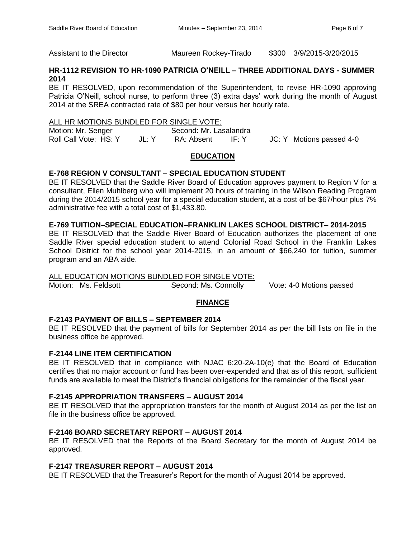Assistant to the Director Maureen Rockey-Tirado \$300 3/9/2015-3/20/2015

# **HR-1112 REVISION TO HR-1090 PATRICIA O'NEILL – THREE ADDITIONAL DAYS - SUMMER 2014**

BE IT RESOLVED, upon recommendation of the Superintendent, to revise HR-1090 approving Patricia O'Neill, school nurse, to perform three (3) extra days' work during the month of August 2014 at the SREA contracted rate of \$80 per hour versus her hourly rate.

#### ALL HR MOTIONS BUNDLED FOR SINGLE VOTE:

Motion: Mr. Senger Second: Mr. Lasalandra<br>
Roll Call Vote: HS: Y JL: Y RA: Absent IF: Y JL: Y RA: Absent IF: Y JC: Y Motions passed 4-0

## **EDUCATION**

# **E-768 REGION V CONSULTANT – SPECIAL EDUCATION STUDENT**

BE IT RESOLVED that the Saddle River Board of Education approves payment to Region V for a consultant, Ellen Muhlberg who will implement 20 hours of training in the Wilson Reading Program during the 2014/2015 school year for a special education student, at a cost of be \$67/hour plus 7% administrative fee with a total cost of \$1,433.80.

# **E-769 TUITION–SPECIAL EDUCATION–FRANKLIN LAKES SCHOOL DISTRICT– 2014-2015**

BE IT RESOLVED that the Saddle River Board of Education authorizes the placement of one Saddle River special education student to attend Colonial Road School in the Franklin Lakes School District for the school year 2014-2015, in an amount of \$66,240 for tuition, summer program and an ABA aide.

#### ALL EDUCATION MOTIONS BUNDLED FOR SINGLE VOTE:

Motion: Ms. Feldsott Second: Ms. Connolly Vote: 4-0 Motions passed

# **FINANCE**

# **F-2143 PAYMENT OF BILLS – SEPTEMBER 2014**

BE IT RESOLVED that the payment of bills for September 2014 as per the bill lists on file in the business office be approved.

# **F-2144 LINE ITEM CERTIFICATION**

BE IT RESOLVED that in compliance with NJAC 6:20-2A-10(e) that the Board of Education certifies that no major account or fund has been over-expended and that as of this report, sufficient funds are available to meet the District's financial obligations for the remainder of the fiscal year.

# **F-2145 APPROPRIATION TRANSFERS – AUGUST 2014**

BE IT RESOLVED that the appropriation transfers for the month of August 2014 as per the list on file in the business office be approved.

# **F-2146 BOARD SECRETARY REPORT – AUGUST 2014**

BE IT RESOLVED that the Reports of the Board Secretary for the month of August 2014 be approved.

# **F-2147 TREASURER REPORT – AUGUST 2014**

BE IT RESOLVED that the Treasurer's Report for the month of August 2014 be approved.